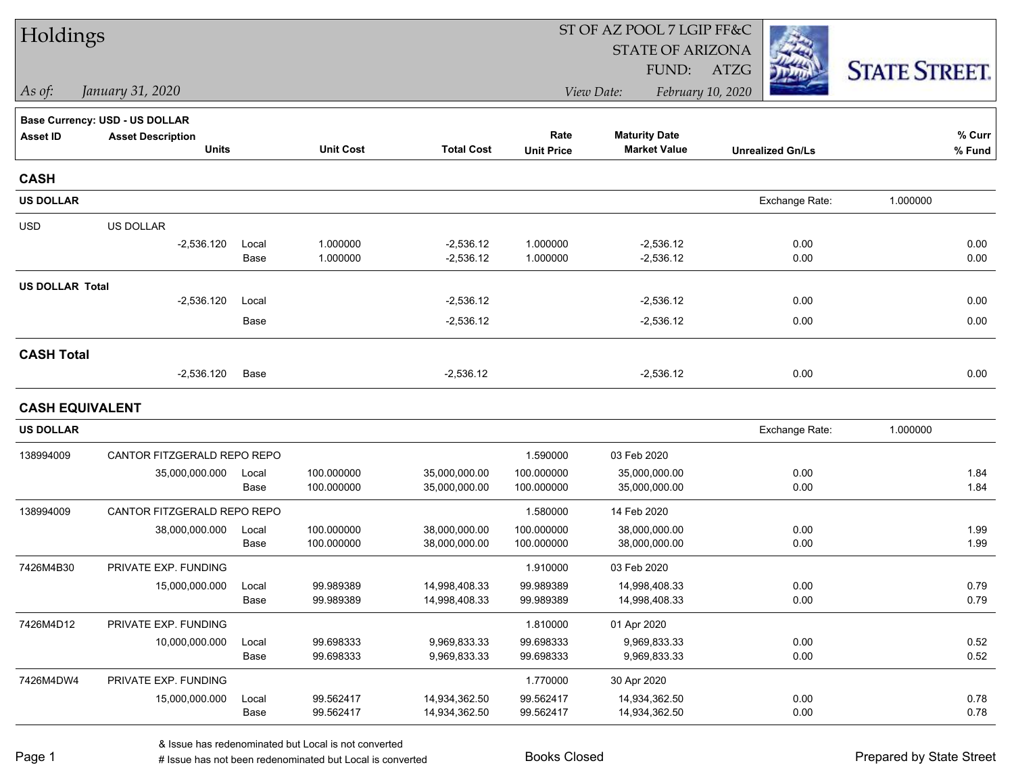| Holdings               |                                |       |                  |                   | ST OF AZ POOL 7 LGIP FF&C |                         |                         |                      |  |  |
|------------------------|--------------------------------|-------|------------------|-------------------|---------------------------|-------------------------|-------------------------|----------------------|--|--|
|                        |                                |       |                  |                   |                           | <b>STATE OF ARIZONA</b> |                         |                      |  |  |
|                        |                                |       |                  |                   |                           | FUND:                   | ATZG                    | <b>STATE STREET.</b> |  |  |
| As of:                 | January 31, 2020               |       |                  |                   |                           | View Date:              | February 10, 2020       |                      |  |  |
|                        | Base Currency: USD - US DOLLAR |       |                  |                   |                           |                         |                         |                      |  |  |
| <b>Asset ID</b>        | <b>Asset Description</b>       |       |                  |                   | Rate                      | <b>Maturity Date</b>    |                         | % Curr               |  |  |
|                        | <b>Units</b>                   |       | <b>Unit Cost</b> | <b>Total Cost</b> | <b>Unit Price</b>         | <b>Market Value</b>     | <b>Unrealized Gn/Ls</b> | % Fund               |  |  |
| <b>CASH</b>            |                                |       |                  |                   |                           |                         |                         |                      |  |  |
| <b>US DOLLAR</b>       |                                |       |                  |                   |                           |                         | Exchange Rate:          | 1.000000             |  |  |
| <b>USD</b>             | US DOLLAR                      |       |                  |                   |                           |                         |                         |                      |  |  |
|                        | $-2,536.120$                   | Local | 1.000000         | $-2,536.12$       | 1.000000                  | $-2,536.12$             | 0.00                    | 0.00                 |  |  |
|                        |                                | Base  | 1.000000         | $-2,536.12$       | 1.000000                  | $-2,536.12$             | 0.00                    | 0.00                 |  |  |
| <b>US DOLLAR Total</b> |                                |       |                  |                   |                           |                         |                         |                      |  |  |
|                        | $-2,536.120$                   | Local |                  | $-2,536.12$       |                           | $-2,536.12$             | 0.00                    | 0.00                 |  |  |
|                        |                                | Base  |                  | $-2,536.12$       |                           | $-2,536.12$             | 0.00                    | 0.00                 |  |  |
| <b>CASH Total</b>      |                                |       |                  |                   |                           |                         |                         |                      |  |  |
|                        | $-2,536.120$                   | Base  |                  | $-2,536.12$       |                           | $-2,536.12$             | 0.00                    | 0.00                 |  |  |
| <b>CASH EQUIVALENT</b> |                                |       |                  |                   |                           |                         |                         |                      |  |  |
| <b>US DOLLAR</b>       |                                |       |                  |                   |                           |                         | Exchange Rate:          | 1.000000             |  |  |
| 138994009              | CANTOR FITZGERALD REPO REPO    |       |                  |                   | 1.590000                  | 03 Feb 2020             |                         |                      |  |  |
|                        | 35,000,000.000                 | Local | 100.000000       | 35,000,000.00     | 100.000000                | 35,000,000.00           | 0.00                    | 1.84                 |  |  |
|                        |                                | Base  | 100.000000       | 35,000,000.00     | 100.000000                | 35,000,000.00           | 0.00                    | 1.84                 |  |  |
| 138994009              | CANTOR FITZGERALD REPO REPO    |       |                  |                   | 1.580000                  | 14 Feb 2020             |                         |                      |  |  |
|                        | 38,000,000.000                 | Local | 100.000000       | 38,000,000.00     | 100.000000                | 38,000,000.00           | 0.00                    | 1.99                 |  |  |
|                        |                                | Base  | 100.000000       | 38,000,000.00     | 100.000000                | 38,000,000.00           | 0.00                    | 1.99                 |  |  |
| 7426M4B30              | PRIVATE EXP. FUNDING           |       |                  |                   | 1.910000                  | 03 Feb 2020             |                         |                      |  |  |
|                        | 15,000,000.000                 | Local | 99.989389        | 14,998,408.33     | 99.989389                 | 14,998,408.33           | 0.00                    | 0.79                 |  |  |
|                        |                                | Base  | 99.989389        | 14,998,408.33     | 99.989389                 | 14,998,408.33           | 0.00                    | 0.79                 |  |  |
| 7426M4D12              | PRIVATE EXP. FUNDING           |       |                  |                   | 1.810000                  | 01 Apr 2020             |                         |                      |  |  |
|                        | 10,000,000.000                 | Local | 99.698333        | 9,969,833.33      | 99.698333                 | 9,969,833.33            | 0.00                    | 0.52                 |  |  |
|                        |                                | Base  | 99.698333        | 9,969,833.33      | 99.698333                 | 9,969,833.33            | 0.00                    | 0.52                 |  |  |
| 7426M4DW4              | PRIVATE EXP. FUNDING           |       |                  |                   | 1.770000                  | 30 Apr 2020             |                         |                      |  |  |
|                        | 15,000,000.000                 | Local | 99.562417        | 14,934,362.50     | 99.562417                 | 14,934,362.50           | 0.00                    | 0.78                 |  |  |
|                        |                                | Base  | 99.562417        | 14,934,362.50     | 99.562417                 | 14,934,362.50           | 0.00                    | 0.78                 |  |  |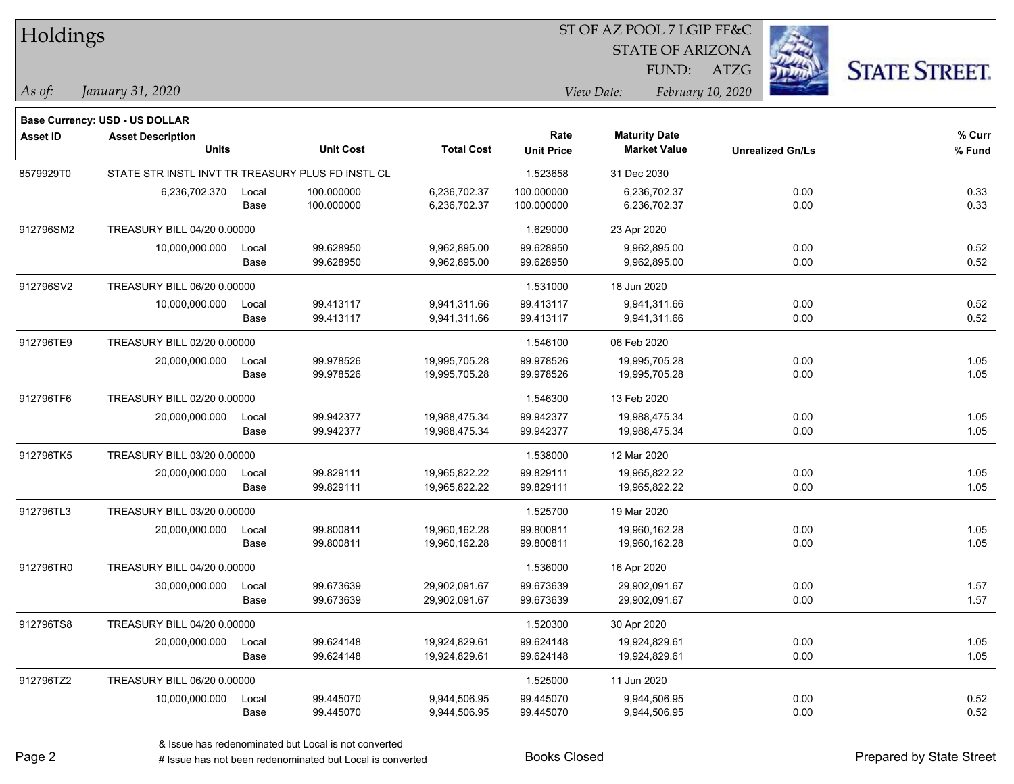| Holdings        |                                                   |       |                  |                   |                   | ST OF AZ POOL 7 LGIP FF&C |                         |                         |                      |
|-----------------|---------------------------------------------------|-------|------------------|-------------------|-------------------|---------------------------|-------------------------|-------------------------|----------------------|
|                 |                                                   |       |                  |                   |                   |                           | <b>STATE OF ARIZONA</b> |                         |                      |
|                 |                                                   |       |                  |                   |                   | FUND:                     | <b>ATZG</b>             |                         | <b>STATE STREET.</b> |
| As of:          | January 31, 2020                                  |       |                  |                   |                   | View Date:                | February 10, 2020       |                         |                      |
|                 | <b>Base Currency: USD - US DOLLAR</b>             |       |                  |                   |                   |                           |                         |                         |                      |
| <b>Asset ID</b> | <b>Asset Description</b>                          |       |                  |                   | Rate              | <b>Maturity Date</b>      |                         |                         | $%$ Curr             |
|                 | <b>Units</b>                                      |       | <b>Unit Cost</b> | <b>Total Cost</b> | <b>Unit Price</b> | <b>Market Value</b>       |                         | <b>Unrealized Gn/Ls</b> | % Fund               |
| 8579929T0       | STATE STR INSTL INVT TR TREASURY PLUS FD INSTL CL |       |                  |                   | 1.523658          | 31 Dec 2030               |                         |                         |                      |
|                 | 6,236,702.370                                     | Local | 100.000000       | 6,236,702.37      | 100.000000        | 6,236,702.37              |                         | 0.00                    | 0.33                 |
|                 |                                                   | Base  | 100.000000       | 6,236,702.37      | 100.000000        | 6,236,702.37              |                         | 0.00                    | 0.33                 |
| 912796SM2       | TREASURY BILL 04/20 0.00000                       |       |                  |                   | 1.629000          | 23 Apr 2020               |                         |                         |                      |
|                 | 10,000,000.000                                    | Local | 99.628950        | 9,962,895.00      | 99.628950         | 9,962,895.00              |                         | 0.00                    | 0.52                 |
|                 |                                                   | Base  | 99.628950        | 9,962,895.00      | 99.628950         | 9,962,895.00              |                         | 0.00                    | 0.52                 |
| 912796SV2       | TREASURY BILL 06/20 0.00000                       |       |                  |                   | 1.531000          | 18 Jun 2020               |                         |                         |                      |
|                 | 10,000,000.000                                    | Local | 99.413117        | 9,941,311.66      | 99.413117         | 9,941,311.66              |                         | 0.00                    | 0.52                 |
|                 |                                                   | Base  | 99.413117        | 9,941,311.66      | 99.413117         | 9,941,311.66              |                         | 0.00                    | 0.52                 |
| 912796TE9       | TREASURY BILL 02/20 0.00000                       |       |                  |                   | 1.546100          | 06 Feb 2020               |                         |                         |                      |
|                 | 20,000,000.000                                    | Local | 99.978526        | 19,995,705.28     | 99.978526         | 19,995,705.28             |                         | 0.00                    | 1.05                 |
|                 |                                                   | Base  | 99.978526        | 19,995,705.28     | 99.978526         | 19,995,705.28             |                         | 0.00                    | 1.05                 |
| 912796TF6       | TREASURY BILL 02/20 0.00000                       |       |                  |                   | 1.546300          | 13 Feb 2020               |                         |                         |                      |
|                 | 20,000,000.000                                    | Local | 99.942377        | 19,988,475.34     | 99.942377         | 19,988,475.34             |                         | 0.00                    | 1.05                 |
|                 |                                                   | Base  | 99.942377        | 19,988,475.34     | 99.942377         | 19,988,475.34             |                         | 0.00                    | 1.05                 |
| 912796TK5       | TREASURY BILL 03/20 0.00000                       |       |                  |                   | 1.538000          | 12 Mar 2020               |                         |                         |                      |
|                 | 20,000,000.000                                    | Local | 99.829111        | 19,965,822.22     | 99.829111         | 19,965,822.22             |                         | 0.00                    | 1.05                 |
|                 |                                                   | Base  | 99.829111        | 19,965,822.22     | 99.829111         | 19,965,822.22             |                         | 0.00                    | 1.05                 |
| 912796TL3       | TREASURY BILL 03/20 0.00000                       |       |                  |                   | 1.525700          | 19 Mar 2020               |                         |                         |                      |
|                 | 20,000,000.000                                    | Local | 99.800811        | 19,960,162.28     | 99.800811         | 19,960,162.28             |                         | 0.00                    | 1.05                 |
|                 |                                                   | Base  | 99.800811        | 19,960,162.28     | 99.800811         | 19,960,162.28             |                         | 0.00                    | 1.05                 |
| 912796TR0       | TREASURY BILL 04/20 0.00000                       |       |                  |                   | 1.536000          | 16 Apr 2020               |                         |                         |                      |
|                 | 30,000,000.000                                    | Local | 99.673639        | 29,902,091.67     | 99.673639         | 29,902,091.67             |                         | 0.00                    | 1.57                 |
|                 |                                                   | Base  | 99.673639        | 29,902,091.67     | 99.673639         | 29,902,091.67             |                         | 0.00                    | 1.57                 |
| 912796TS8       | TREASURY BILL 04/20 0.00000                       |       |                  |                   | 1.520300          | 30 Apr 2020               |                         |                         |                      |
|                 | 20,000,000.000                                    | Local | 99.624148        | 19,924,829.61     | 99.624148         | 19,924,829.61             |                         | 0.00                    | 1.05                 |
|                 |                                                   | Base  | 99.624148        | 19,924,829.61     | 99.624148         | 19,924,829.61             |                         | 0.00                    | 1.05                 |
| 912796TZ2       | TREASURY BILL 06/20 0.00000                       |       |                  |                   | 1.525000          | 11 Jun 2020               |                         |                         |                      |
|                 | 10,000,000.000                                    | Local | 99.445070        | 9,944,506.95      | 99.445070         | 9,944,506.95              |                         | 0.00                    | 0.52                 |
|                 |                                                   | Base  | 99.445070        | 9,944,506.95      | 99.445070         | 9,944,506.95              |                         | 0.00                    | 0.52                 |

L

 $\overline{\phantom{a}}$ 

 $\overline{\phantom{0}}$ 

 $\overline{\phantom{a}}$ 

 $\overline{\phantom{0}}$ 

 $\overline{\phantom{0}}$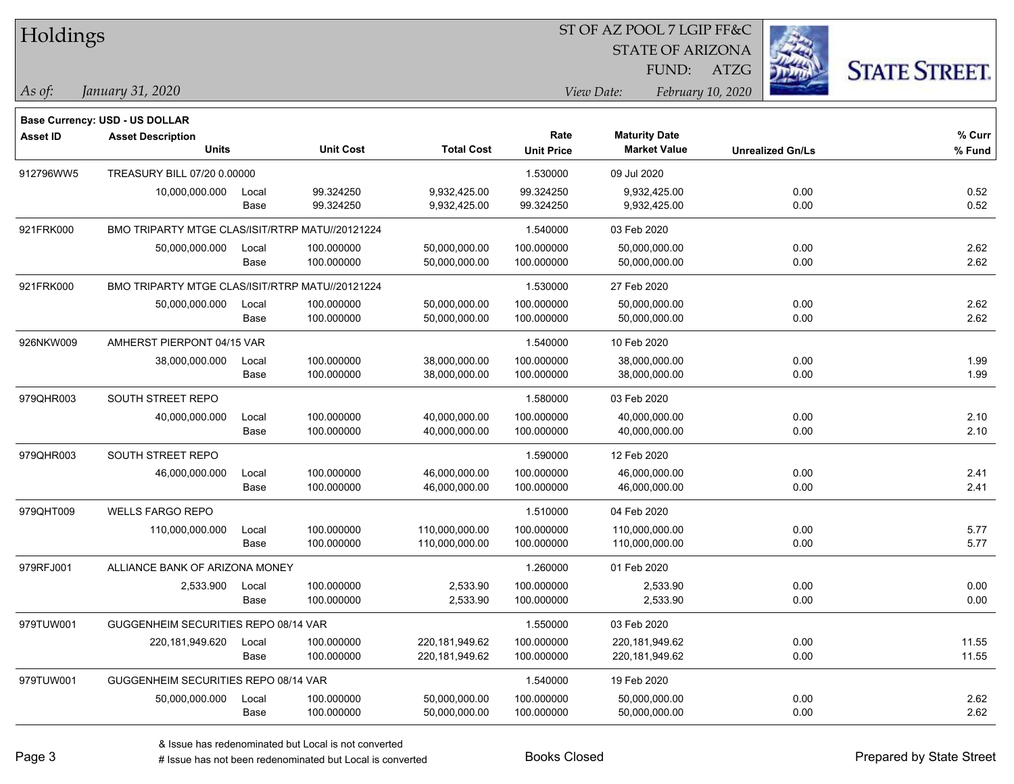| Holdings        |                                                 |       |                  |                   | ST OF AZ POOL 7 LGIP FF&C |                      |                         |                         |                      |
|-----------------|-------------------------------------------------|-------|------------------|-------------------|---------------------------|----------------------|-------------------------|-------------------------|----------------------|
|                 |                                                 |       |                  |                   |                           |                      | <b>STATE OF ARIZONA</b> |                         |                      |
|                 |                                                 |       |                  |                   |                           |                      | FUND:<br><b>ATZG</b>    |                         | <b>STATE STREET.</b> |
| As of:          | January 31, 2020                                |       |                  |                   |                           | View Date:           | February 10, 2020       |                         |                      |
|                 | Base Currency: USD - US DOLLAR                  |       |                  |                   |                           |                      |                         |                         |                      |
| <b>Asset ID</b> | <b>Asset Description</b>                        |       |                  |                   | Rate                      | <b>Maturity Date</b> |                         |                         | % Curr               |
|                 | <b>Units</b>                                    |       | <b>Unit Cost</b> | <b>Total Cost</b> | <b>Unit Price</b>         | <b>Market Value</b>  |                         | <b>Unrealized Gn/Ls</b> | % Fund               |
| 912796WW5       | TREASURY BILL 07/20 0.00000                     |       |                  |                   | 1.530000                  | 09 Jul 2020          |                         |                         |                      |
|                 | 10,000,000.000                                  | Local | 99.324250        | 9,932,425.00      | 99.324250                 | 9,932,425.00         |                         | 0.00                    | 0.52                 |
|                 |                                                 | Base  | 99.324250        | 9,932,425.00      | 99.324250                 | 9,932,425.00         |                         | 0.00                    | 0.52                 |
| 921FRK000       | BMO TRIPARTY MTGE CLAS/ISIT/RTRP MATU//20121224 |       |                  |                   | 1.540000                  | 03 Feb 2020          |                         |                         |                      |
|                 | 50,000,000.000                                  | Local | 100.000000       | 50,000,000.00     | 100.000000                | 50,000,000.00        |                         | 0.00                    | 2.62                 |
|                 |                                                 | Base  | 100.000000       | 50,000,000.00     | 100.000000                | 50,000,000.00        |                         | 0.00                    | 2.62                 |
| 921FRK000       | BMO TRIPARTY MTGE CLAS/ISIT/RTRP MATU//20121224 |       |                  |                   | 1.530000                  | 27 Feb 2020          |                         |                         |                      |
|                 | 50,000,000.000                                  | Local | 100.000000       | 50,000,000.00     | 100.000000                | 50,000,000.00        |                         | 0.00                    | 2.62                 |
|                 |                                                 | Base  | 100.000000       | 50,000,000.00     | 100.000000                | 50,000,000.00        |                         | 0.00                    | 2.62                 |
| 926NKW009       | AMHERST PIERPONT 04/15 VAR                      |       |                  |                   | 1.540000                  | 10 Feb 2020          |                         |                         |                      |
|                 | 38,000,000.000                                  | Local | 100.000000       | 38,000,000.00     | 100.000000                | 38,000,000.00        |                         | 0.00                    | 1.99                 |
|                 |                                                 | Base  | 100.000000       | 38,000,000.00     | 100.000000                | 38,000,000.00        |                         | 0.00                    | 1.99                 |
| 979QHR003       | SOUTH STREET REPO                               |       |                  |                   | 1.580000                  | 03 Feb 2020          |                         |                         |                      |
|                 | 40,000,000.000                                  | Local | 100.000000       | 40,000,000.00     | 100.000000                | 40,000,000.00        |                         | 0.00                    | 2.10                 |
|                 |                                                 | Base  | 100.000000       | 40,000,000.00     | 100.000000                | 40,000,000.00        |                         | 0.00                    | 2.10                 |
| 979QHR003       | SOUTH STREET REPO                               |       |                  |                   | 1.590000                  | 12 Feb 2020          |                         |                         |                      |
|                 | 46,000,000.000                                  | Local | 100.000000       | 46,000,000.00     | 100.000000                | 46,000,000.00        |                         | 0.00                    | 2.41                 |
|                 |                                                 | Base  | 100.000000       | 46,000,000.00     | 100.000000                | 46,000,000.00        |                         | 0.00                    | 2.41                 |
| 979QHT009       | <b>WELLS FARGO REPO</b>                         |       |                  |                   | 1.510000                  | 04 Feb 2020          |                         |                         |                      |
|                 | 110,000,000.000                                 | Local | 100.000000       | 110,000,000.00    | 100.000000                | 110,000,000.00       |                         | 0.00                    | 5.77                 |
|                 |                                                 | Base  | 100.000000       | 110,000,000.00    | 100.000000                | 110,000,000.00       |                         | 0.00                    | 5.77                 |
| 979RFJ001       | ALLIANCE BANK OF ARIZONA MONEY                  |       |                  |                   | 1.260000                  | 01 Feb 2020          |                         |                         |                      |
|                 | 2,533.900                                       | Local | 100.000000       | 2,533.90          | 100.000000                |                      | 2,533.90                | 0.00                    | 0.00                 |
|                 |                                                 | Base  | 100.000000       | 2,533.90          | 100.000000                | 2,533.90             |                         | 0.00                    | 0.00                 |
| 979TUW001       | GUGGENHEIM SECURITIES REPO 08/14 VAR            |       |                  |                   | 1.550000                  | 03 Feb 2020          |                         |                         |                      |
|                 | 220,181,949.620                                 | Local | 100.000000       | 220,181,949.62    | 100.000000                | 220,181,949.62       |                         | 0.00                    | 11.55                |
|                 |                                                 | Base  | 100.000000       | 220,181,949.62    | 100.000000                | 220,181,949.62       |                         | 0.00                    | 11.55                |
| 979TUW001       | GUGGENHEIM SECURITIES REPO 08/14 VAR            |       |                  |                   | 1.540000                  | 19 Feb 2020          |                         |                         |                      |
|                 | 50,000,000.000                                  | Local | 100.000000       | 50,000,000.00     | 100.000000                | 50,000,000.00        |                         | 0.00                    | 2.62                 |
|                 |                                                 | Base  | 100.000000       | 50,000,000.00     | 100.000000                | 50,000,000.00        |                         | 0.00                    | 2.62                 |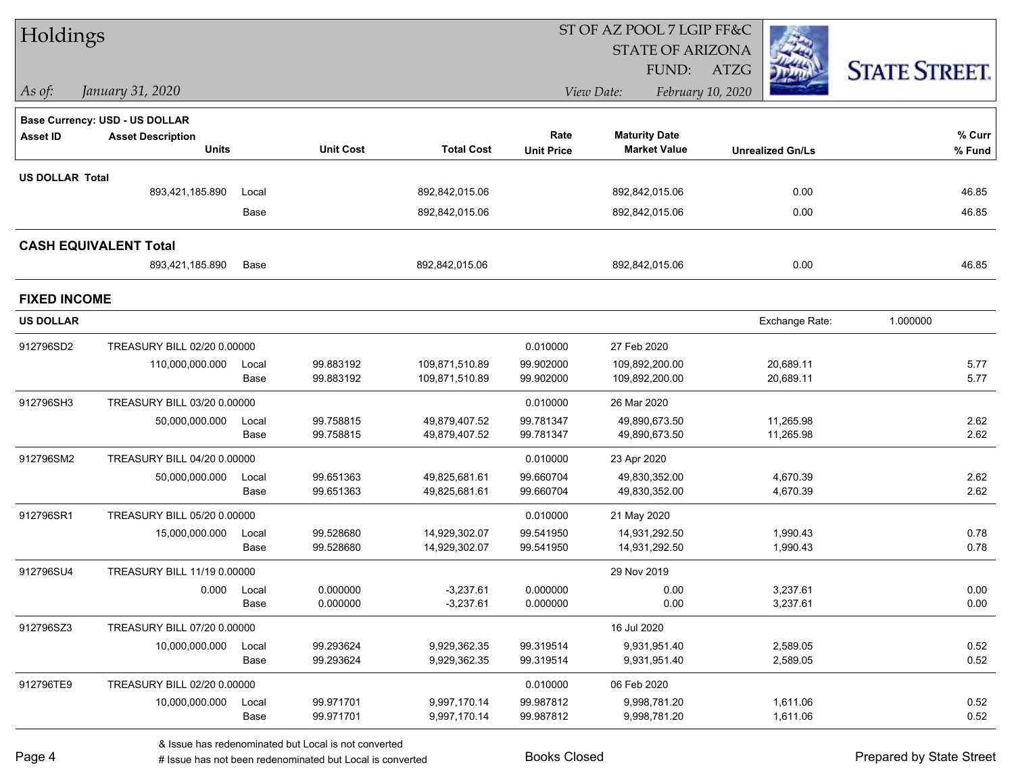| Holdings               |                                       |               |                        |                                  |                        | ST OF AZ POOL 7 LGIP FF&C        |                         |                      |
|------------------------|---------------------------------------|---------------|------------------------|----------------------------------|------------------------|----------------------------------|-------------------------|----------------------|
|                        |                                       |               |                        |                                  |                        | <b>STATE OF ARIZONA</b>          |                         |                      |
|                        |                                       |               |                        |                                  |                        | FUND:                            | ATZG                    | <b>STATE STREET.</b> |
| As of:                 | January 31, 2020                      |               |                        |                                  |                        | View Date:                       | February 10, 2020       |                      |
|                        | <b>Base Currency: USD - US DOLLAR</b> |               |                        |                                  |                        |                                  |                         |                      |
| <b>Asset ID</b>        | <b>Asset Description</b>              |               |                        |                                  | Rate                   | <b>Maturity Date</b>             |                         | % Curr               |
|                        | <b>Units</b>                          |               | <b>Unit Cost</b>       | <b>Total Cost</b>                | <b>Unit Price</b>      | <b>Market Value</b>              | <b>Unrealized Gn/Ls</b> | % Fund               |
| <b>US DOLLAR Total</b> |                                       |               |                        |                                  |                        |                                  |                         |                      |
|                        | 893,421,185.890                       | Local         |                        | 892,842,015.06                   |                        | 892,842,015.06                   | 0.00                    | 46.85                |
|                        |                                       | Base          |                        | 892,842,015.06                   |                        | 892,842,015.06                   | 0.00                    | 46.85                |
|                        | <b>CASH EQUIVALENT Total</b>          |               |                        |                                  |                        |                                  |                         |                      |
|                        | 893,421,185.890                       | Base          |                        | 892,842,015.06                   |                        | 892,842,015.06                   | 0.00                    | 46.85                |
| <b>FIXED INCOME</b>    |                                       |               |                        |                                  |                        |                                  |                         |                      |
| <b>US DOLLAR</b>       |                                       |               |                        |                                  |                        |                                  | Exchange Rate:          | 1.000000             |
| 912796SD2              | TREASURY BILL 02/20 0.00000           |               |                        |                                  | 0.010000               | 27 Feb 2020                      |                         |                      |
|                        | 110,000,000.000                       | Local<br>Base | 99.883192<br>99.883192 | 109,871,510.89<br>109,871,510.89 | 99.902000<br>99.902000 | 109,892,200.00<br>109,892,200.00 | 20,689.11<br>20,689.11  | 5.77<br>5.77         |
| 912796SH3              | TREASURY BILL 03/20 0.00000           |               |                        |                                  | 0.010000               | 26 Mar 2020                      |                         |                      |
|                        | 50,000,000.000                        | Local         | 99.758815              | 49,879,407.52                    | 99.781347              | 49,890,673.50                    | 11,265.98               | 2.62                 |
|                        |                                       | Base          | 99.758815              | 49,879,407.52                    | 99.781347              | 49,890,673.50                    | 11,265.98               | 2.62                 |
| 912796SM2              | TREASURY BILL 04/20 0.00000           |               |                        |                                  | 0.010000               | 23 Apr 2020                      |                         |                      |
|                        | 50,000,000.000                        | Local         | 99.651363              | 49,825,681.61                    | 99.660704              | 49,830,352.00                    | 4,670.39                | 2.62                 |
|                        |                                       | Base          | 99.651363              | 49,825,681.61                    | 99.660704              | 49,830,352.00                    | 4,670.39                | 2.62                 |
| 912796SR1              | TREASURY BILL 05/20 0.00000           |               |                        |                                  | 0.010000               | 21 May 2020                      |                         |                      |
|                        | 15,000,000.000                        | Local         | 99.528680              | 14,929,302.07                    | 99.541950              | 14,931,292.50                    | 1,990.43                | 0.78                 |
|                        |                                       | Base          | 99.528680              | 14,929,302.07                    | 99.541950              | 14,931,292.50                    | 1,990.43                | 0.78                 |
| 912796SU4              | TREASURY BILL 11/19 0.00000           |               |                        |                                  |                        | 29 Nov 2019                      |                         |                      |
|                        |                                       | 0.000 Local   | 0.000000               | $-3,237.61$                      | 0.000000               | 0.00                             | 3,237.61                | 0.00                 |
|                        |                                       | Base          | 0.000000               | $-3,237.61$                      | 0.000000               | 0.00                             | 3,237.61                | 0.00                 |
| 912796SZ3              | TREASURY BILL 07/20 0.00000           |               |                        |                                  |                        | 16 Jul 2020                      |                         |                      |
|                        | 10,000,000.000                        | Local         | 99.293624              | 9,929,362.35                     | 99.319514              | 9,931,951.40                     | 2,589.05                | 0.52                 |
|                        |                                       | Base          | 99.293624              | 9,929,362.35                     | 99.319514              | 9,931,951.40                     | 2,589.05                | 0.52                 |
| 912796TE9              | TREASURY BILL 02/20 0.00000           |               |                        |                                  | 0.010000               | 06 Feb 2020                      |                         |                      |
|                        | 10,000,000.000                        | Local         | 99.971701              | 9,997,170.14                     | 99.987812              | 9,998,781.20                     | 1,611.06                | 0.52                 |
|                        |                                       | Base          | 99.971701              | 9,997,170.14                     | 99.987812              | 9,998,781.20                     | 1,611.06                | 0.52                 |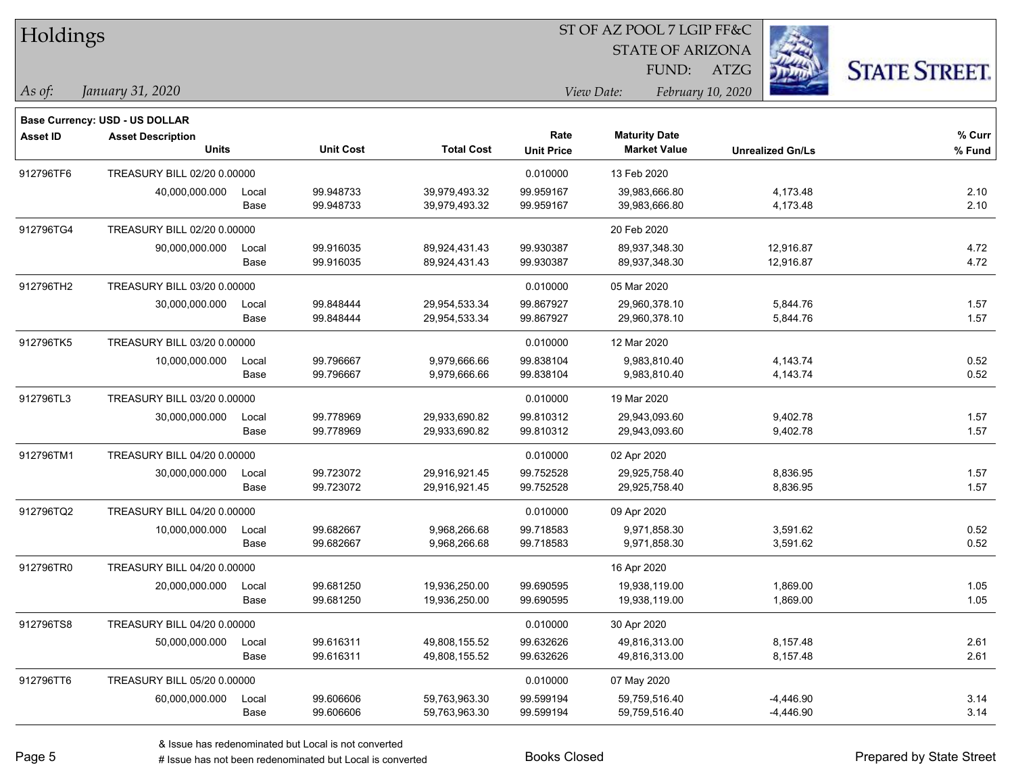| Holdings        |                                                            |       |                  |                   |                   |                         |                         |                      |
|-----------------|------------------------------------------------------------|-------|------------------|-------------------|-------------------|-------------------------|-------------------------|----------------------|
|                 |                                                            |       |                  |                   |                   | <b>STATE OF ARIZONA</b> |                         |                      |
|                 |                                                            |       |                  |                   |                   | FUND:                   | <b>ATZG</b>             | <b>STATE STREET.</b> |
| As of:          | January 31, 2020                                           |       |                  |                   |                   | View Date:              | February 10, 2020       |                      |
|                 |                                                            |       |                  |                   |                   |                         |                         |                      |
| <b>Asset ID</b> | Base Currency: USD - US DOLLAR<br><b>Asset Description</b> |       |                  |                   | Rate              | <b>Maturity Date</b>    |                         | % Curr               |
|                 | Units                                                      |       | <b>Unit Cost</b> | <b>Total Cost</b> | <b>Unit Price</b> | <b>Market Value</b>     | <b>Unrealized Gn/Ls</b> | $%$ Fund             |
| 912796TF6       | TREASURY BILL 02/20 0.00000                                |       |                  |                   | 0.010000          | 13 Feb 2020             |                         |                      |
|                 | 40,000,000.000                                             | Local | 99.948733        | 39,979,493.32     | 99.959167         | 39,983,666.80           | 4,173.48                | 2.10                 |
|                 |                                                            | Base  | 99.948733        | 39,979,493.32     | 99.959167         | 39,983,666.80           | 4,173.48                | 2.10                 |
| 912796TG4       | TREASURY BILL 02/20 0.00000                                |       |                  |                   |                   | 20 Feb 2020             |                         |                      |
|                 | 90,000,000.000                                             | Local | 99.916035        | 89,924,431.43     | 99.930387         | 89,937,348.30           | 12,916.87               | 4.72                 |
|                 |                                                            | Base  | 99.916035        | 89,924,431.43     | 99.930387         | 89,937,348.30           | 12,916.87               | 4.72                 |
| 912796TH2       | TREASURY BILL 03/20 0.00000                                |       |                  |                   | 0.010000          | 05 Mar 2020             |                         |                      |
|                 | 30,000,000.000                                             | Local | 99.848444        | 29,954,533.34     | 99.867927         | 29,960,378.10           | 5,844.76                | 1.57                 |
|                 |                                                            | Base  | 99.848444        | 29,954,533.34     | 99.867927         | 29,960,378.10           | 5,844.76                | 1.57                 |
| 912796TK5       | TREASURY BILL 03/20 0.00000                                |       |                  |                   | 0.010000          | 12 Mar 2020             |                         |                      |
|                 | 10,000,000.000                                             | Local | 99.796667        | 9,979,666.66      | 99.838104         | 9,983,810.40            | 4,143.74                | 0.52                 |
|                 |                                                            | Base  | 99.796667        | 9,979,666.66      | 99.838104         | 9,983,810.40            | 4,143.74                | 0.52                 |
| 912796TL3       | TREASURY BILL 03/20 0.00000                                |       |                  |                   | 0.010000          | 19 Mar 2020             |                         |                      |
|                 | 30,000,000.000                                             | Local | 99.778969        | 29,933,690.82     | 99.810312         | 29,943,093.60           | 9,402.78                | 1.57                 |
|                 |                                                            | Base  | 99.778969        | 29,933,690.82     | 99.810312         | 29,943,093.60           | 9,402.78                | 1.57                 |
| 912796TM1       | TREASURY BILL 04/20 0.00000                                |       |                  |                   | 0.010000          | 02 Apr 2020             |                         |                      |
|                 | 30,000,000.000                                             | Local | 99.723072        | 29,916,921.45     | 99.752528         | 29,925,758.40           | 8,836.95                | 1.57                 |
|                 |                                                            | Base  | 99.723072        | 29,916,921.45     | 99.752528         | 29,925,758.40           | 8,836.95                | 1.57                 |
| 912796TQ2       | TREASURY BILL 04/20 0.00000                                |       |                  |                   | 0.010000          | 09 Apr 2020             |                         |                      |
|                 | 10,000,000.000                                             | Local | 99.682667        | 9,968,266.68      | 99.718583         | 9,971,858.30            | 3,591.62                | 0.52                 |
|                 |                                                            | Base  | 99.682667        | 9,968,266.68      | 99.718583         | 9,971,858.30            | 3,591.62                | 0.52                 |
| 912796TR0       | TREASURY BILL 04/20 0.00000                                |       |                  |                   |                   | 16 Apr 2020             |                         |                      |
|                 | 20,000,000.000                                             | Local | 99.681250        | 19,936,250.00     | 99.690595         | 19,938,119.00           | 1,869.00                | 1.05                 |
|                 |                                                            | Base  | 99.681250        | 19,936,250.00     | 99.690595         | 19,938,119.00           | 1,869.00                | 1.05                 |
| 912796TS8       | TREASURY BILL 04/20 0.00000                                |       |                  |                   | 0.010000          | 30 Apr 2020             |                         |                      |
|                 | 50,000,000.000                                             | Local | 99.616311        | 49,808,155.52     | 99.632626         | 49,816,313.00           | 8,157.48                | 2.61                 |
|                 |                                                            | Base  | 99.616311        | 49,808,155.52     | 99.632626         | 49,816,313.00           | 8,157.48                | 2.61                 |
| 912796TT6       | TREASURY BILL 05/20 0.00000                                |       |                  |                   | 0.010000          | 07 May 2020             |                         |                      |
|                 | 60,000,000.000                                             | Local | 99.606606        | 59,763,963.30     | 99.599194         | 59,759,516.40           | $-4,446.90$             | 3.14                 |
|                 |                                                            | Base  | 99.606606        | 59,763,963.30     | 99.599194         | 59,759,516.40           | $-4,446.90$             | 3.14                 |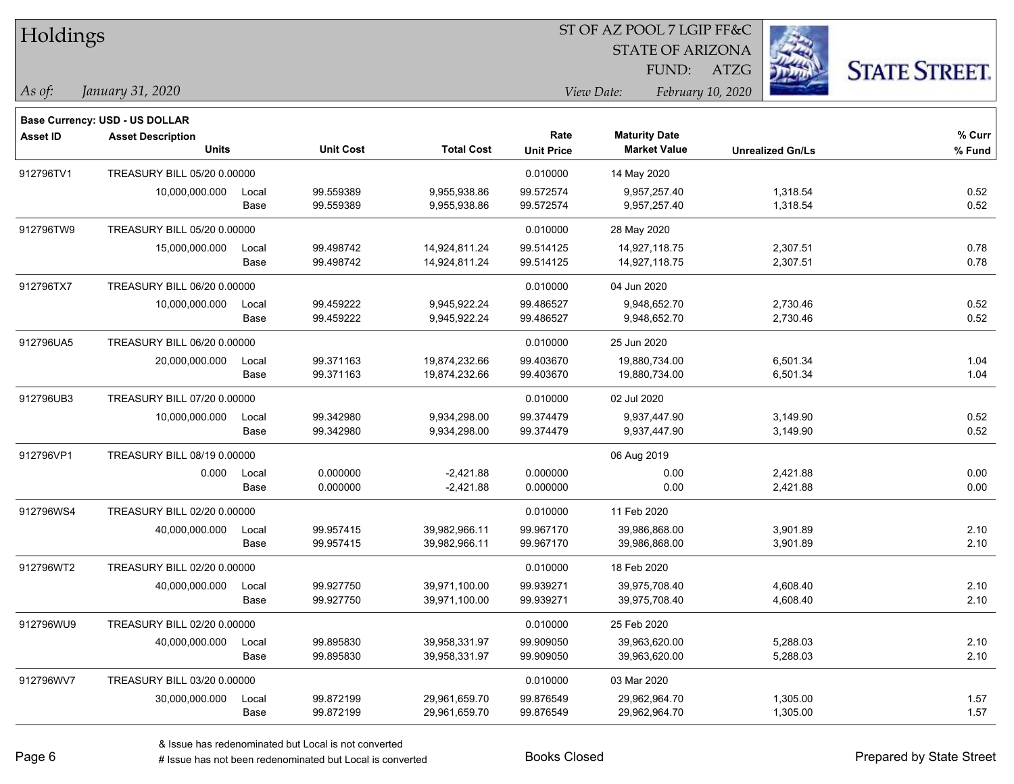| Holdings        |                                                            |       |                  |                   |                   |                         |                         |                      |
|-----------------|------------------------------------------------------------|-------|------------------|-------------------|-------------------|-------------------------|-------------------------|----------------------|
|                 |                                                            |       |                  |                   |                   | <b>STATE OF ARIZONA</b> |                         |                      |
|                 |                                                            |       |                  |                   |                   | FUND:                   | <b>ATZG</b>             | <b>STATE STREET.</b> |
| As of:          | January 31, 2020                                           |       |                  |                   |                   | View Date:              | February 10, 2020       |                      |
|                 |                                                            |       |                  |                   |                   |                         |                         |                      |
| <b>Asset ID</b> | Base Currency: USD - US DOLLAR<br><b>Asset Description</b> |       |                  |                   | Rate              | <b>Maturity Date</b>    |                         | % Curr               |
|                 | <b>Units</b>                                               |       | <b>Unit Cost</b> | <b>Total Cost</b> | <b>Unit Price</b> | <b>Market Value</b>     | <b>Unrealized Gn/Ls</b> | $%$ Fund             |
| 912796TV1       | TREASURY BILL 05/20 0.00000                                |       |                  |                   | 0.010000          | 14 May 2020             |                         |                      |
|                 | 10,000,000.000                                             | Local | 99.559389        | 9,955,938.86      | 99.572574         | 9,957,257.40            | 1,318.54                | 0.52                 |
|                 |                                                            | Base  | 99.559389        | 9,955,938.86      | 99.572574         | 9,957,257.40            | 1,318.54                | 0.52                 |
| 912796TW9       | TREASURY BILL 05/20 0.00000                                |       |                  |                   | 0.010000          | 28 May 2020             |                         |                      |
|                 | 15,000,000.000                                             | Local | 99.498742        | 14,924,811.24     | 99.514125         | 14,927,118.75           | 2,307.51                | 0.78                 |
|                 |                                                            | Base  | 99.498742        | 14,924,811.24     | 99.514125         | 14,927,118.75           | 2,307.51                | 0.78                 |
| 912796TX7       | TREASURY BILL 06/20 0.00000                                |       |                  |                   | 0.010000          | 04 Jun 2020             |                         |                      |
|                 | 10,000,000.000                                             | Local | 99.459222        | 9,945,922.24      | 99.486527         | 9,948,652.70            | 2,730.46                | 0.52                 |
|                 |                                                            | Base  | 99.459222        | 9,945,922.24      | 99.486527         | 9,948,652.70            | 2,730.46                | 0.52                 |
| 912796UA5       | TREASURY BILL 06/20 0.00000                                |       |                  |                   | 0.010000          | 25 Jun 2020             |                         |                      |
|                 | 20,000,000.000                                             | Local | 99.371163        | 19,874,232.66     | 99.403670         | 19,880,734.00           | 6,501.34                | 1.04                 |
|                 |                                                            | Base  | 99.371163        | 19,874,232.66     | 99.403670         | 19,880,734.00           | 6,501.34                | 1.04                 |
| 912796UB3       | TREASURY BILL 07/20 0.00000                                |       |                  |                   | 0.010000          | 02 Jul 2020             |                         |                      |
|                 | 10,000,000.000                                             | Local | 99.342980        | 9,934,298.00      | 99.374479         | 9,937,447.90            | 3,149.90                | 0.52                 |
|                 |                                                            | Base  | 99.342980        | 9,934,298.00      | 99.374479         | 9,937,447.90            | 3,149.90                | 0.52                 |
| 912796VP1       | TREASURY BILL 08/19 0.00000                                |       |                  |                   |                   | 06 Aug 2019             |                         |                      |
|                 | 0.000                                                      | Local | 0.000000         | $-2,421.88$       | 0.000000          | 0.00                    | 2,421.88                | 0.00                 |
|                 |                                                            | Base  | 0.000000         | $-2,421.88$       | 0.000000          | 0.00                    | 2,421.88                | 0.00                 |
| 912796WS4       | TREASURY BILL 02/20 0.00000                                |       |                  |                   | 0.010000          | 11 Feb 2020             |                         |                      |
|                 | 40,000,000.000                                             | Local | 99.957415        | 39,982,966.11     | 99.967170         | 39,986,868.00           | 3,901.89                | 2.10                 |
|                 |                                                            | Base  | 99.957415        | 39,982,966.11     | 99.967170         | 39,986,868.00           | 3,901.89                | 2.10                 |
| 912796WT2       | TREASURY BILL 02/20 0.00000                                |       |                  |                   | 0.010000          | 18 Feb 2020             |                         |                      |
|                 | 40,000,000.000                                             | Local | 99.927750        | 39,971,100.00     | 99.939271         | 39,975,708.40           | 4,608.40                | 2.10                 |
|                 |                                                            | Base  | 99.927750        | 39,971,100.00     | 99.939271         | 39,975,708.40           | 4,608.40                | 2.10                 |
| 912796WU9       | TREASURY BILL 02/20 0.00000                                |       |                  |                   | 0.010000          | 25 Feb 2020             |                         |                      |
|                 | 40,000,000.000                                             | Local | 99.895830        | 39,958,331.97     | 99.909050         | 39,963,620.00           | 5,288.03                | 2.10                 |
|                 |                                                            | Base  | 99.895830        | 39,958,331.97     | 99.909050         | 39,963,620.00           | 5,288.03                | 2.10                 |
| 912796WV7       | TREASURY BILL 03/20 0.00000                                |       |                  |                   | 0.010000          | 03 Mar 2020             |                         |                      |
|                 | 30,000,000.000                                             | Local | 99.872199        | 29,961,659.70     | 99.876549         | 29,962,964.70           | 1,305.00                | 1.57                 |
|                 |                                                            | Base  | 99.872199        | 29,961,659.70     | 99.876549         | 29,962,964.70           | 1,305.00                | 1.57                 |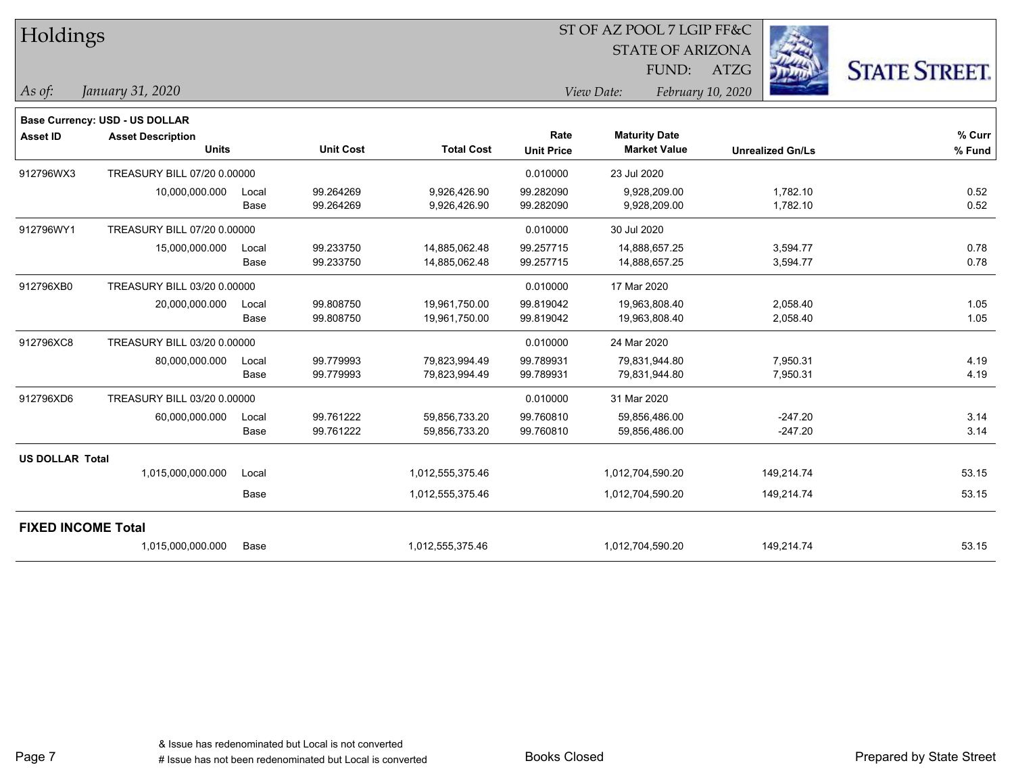| Holdings               |                                |       |                  |                   | ST OF AZ POOL 7 LGIP FF&C |                                 |                         |                      |  |  |
|------------------------|--------------------------------|-------|------------------|-------------------|---------------------------|---------------------------------|-------------------------|----------------------|--|--|
|                        |                                |       |                  |                   |                           | <b>STATE OF ARIZONA</b>         |                         |                      |  |  |
|                        |                                |       |                  |                   |                           | FUND:                           | <b>ATZG</b>             | <b>STATE STREET.</b> |  |  |
| As of:                 | January 31, 2020               |       |                  |                   |                           | View Date:<br>February 10, 2020 |                         |                      |  |  |
|                        | Base Currency: USD - US DOLLAR |       |                  |                   |                           |                                 |                         |                      |  |  |
| <b>Asset ID</b>        | <b>Asset Description</b>       |       |                  |                   | Rate                      | <b>Maturity Date</b>            |                         | % Curr               |  |  |
|                        | <b>Units</b>                   |       | <b>Unit Cost</b> | <b>Total Cost</b> | <b>Unit Price</b>         | <b>Market Value</b>             | <b>Unrealized Gn/Ls</b> | % Fund               |  |  |
| 912796WX3              | TREASURY BILL 07/20 0.00000    |       |                  |                   | 0.010000                  | 23 Jul 2020                     |                         |                      |  |  |
|                        | 10,000,000.000                 | Local | 99.264269        | 9,926,426.90      | 99.282090                 | 9,928,209.00                    | 1,782.10                | 0.52                 |  |  |
|                        |                                | Base  | 99.264269        | 9,926,426.90      | 99.282090                 | 9,928,209.00                    | 1,782.10                | 0.52                 |  |  |
| 912796WY1              | TREASURY BILL 07/20 0.00000    |       |                  |                   | 0.010000                  | 30 Jul 2020                     |                         |                      |  |  |
|                        | 15,000,000.000                 | Local | 99.233750        | 14,885,062.48     | 99.257715                 | 14,888,657.25                   | 3,594.77                | 0.78                 |  |  |
|                        |                                | Base  | 99.233750        | 14,885,062.48     | 99.257715                 | 14,888,657.25                   | 3,594.77                | 0.78                 |  |  |
| 912796XB0              | TREASURY BILL 03/20 0.00000    |       |                  |                   | 0.010000                  | 17 Mar 2020                     |                         |                      |  |  |
|                        | 20,000,000.000                 | Local | 99.808750        | 19,961,750.00     | 99.819042                 | 19,963,808.40                   | 2,058.40                | 1.05                 |  |  |
|                        |                                | Base  | 99.808750        | 19,961,750.00     | 99.819042                 | 19,963,808.40                   | 2,058.40                | 1.05                 |  |  |
| 912796XC8              | TREASURY BILL 03/20 0.00000    |       |                  |                   | 0.010000                  | 24 Mar 2020                     |                         |                      |  |  |
|                        | 80,000,000.000                 | Local | 99.779993        | 79,823,994.49     | 99.789931                 | 79,831,944.80                   | 7,950.31                | 4.19                 |  |  |
|                        |                                | Base  | 99.779993        | 79,823,994.49     | 99.789931                 | 79,831,944.80                   | 7,950.31                | 4.19                 |  |  |
| 912796XD6              | TREASURY BILL 03/20 0.00000    |       |                  |                   | 0.010000                  | 31 Mar 2020                     |                         |                      |  |  |
|                        | 60,000,000.000                 | Local | 99.761222        | 59,856,733.20     | 99.760810                 | 59,856,486.00                   | $-247.20$               | 3.14                 |  |  |
|                        |                                | Base  | 99.761222        | 59,856,733.20     | 99.760810                 | 59,856,486.00                   | $-247.20$               | 3.14                 |  |  |
| <b>US DOLLAR Total</b> |                                |       |                  |                   |                           |                                 |                         |                      |  |  |
|                        | 1,015,000,000.000              | Local |                  | 1,012,555,375.46  |                           | 1,012,704,590.20                | 149,214.74              | 53.15                |  |  |
|                        |                                | Base  |                  | 1,012,555,375.46  |                           | 1,012,704,590.20                | 149,214.74              | 53.15                |  |  |
|                        | <b>FIXED INCOME Total</b>      |       |                  |                   |                           |                                 |                         |                      |  |  |
|                        | 1,015,000,000.000              | Base  |                  | 1,012,555,375.46  |                           | 1,012,704,590.20                | 149,214.74              | 53.15                |  |  |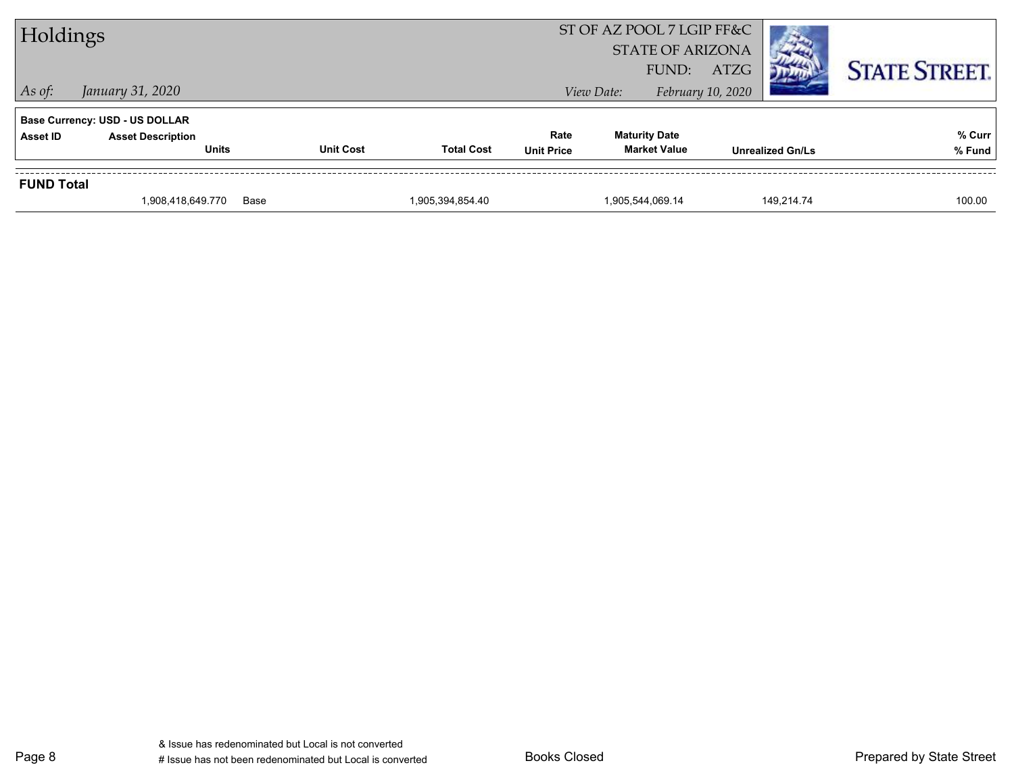| Holdings          |                                                                   |                  |                   |                   | ST OF AZ POOL 7 LGIP FF&C<br><b>STATE OF ARIZONA</b><br>FUND: | <b>ATZG</b>             | <b>STATE STREET.</b> |
|-------------------|-------------------------------------------------------------------|------------------|-------------------|-------------------|---------------------------------------------------------------|-------------------------|----------------------|
| $\vert$ As of:    | January 31, 2020                                                  |                  |                   |                   | View Date:                                                    | February 10, 2020       |                      |
| <b>Asset ID</b>   | <b>Base Currency: USD - US DOLLAR</b><br><b>Asset Description</b> |                  |                   | Rate              | <b>Maturity Date</b>                                          |                         | % Curr               |
|                   | <b>Units</b>                                                      | <b>Unit Cost</b> | <b>Total Cost</b> | <b>Unit Price</b> | <b>Market Value</b>                                           | <b>Unrealized Gn/Ls</b> | % Fund               |
| <b>FUND Total</b> |                                                                   |                  |                   |                   |                                                               |                         |                      |
|                   | 1,908,418,649.770                                                 | Base             | 1,905,394,854.40  |                   | 1,905,544,069.14                                              | 149.214.74              | 100.00               |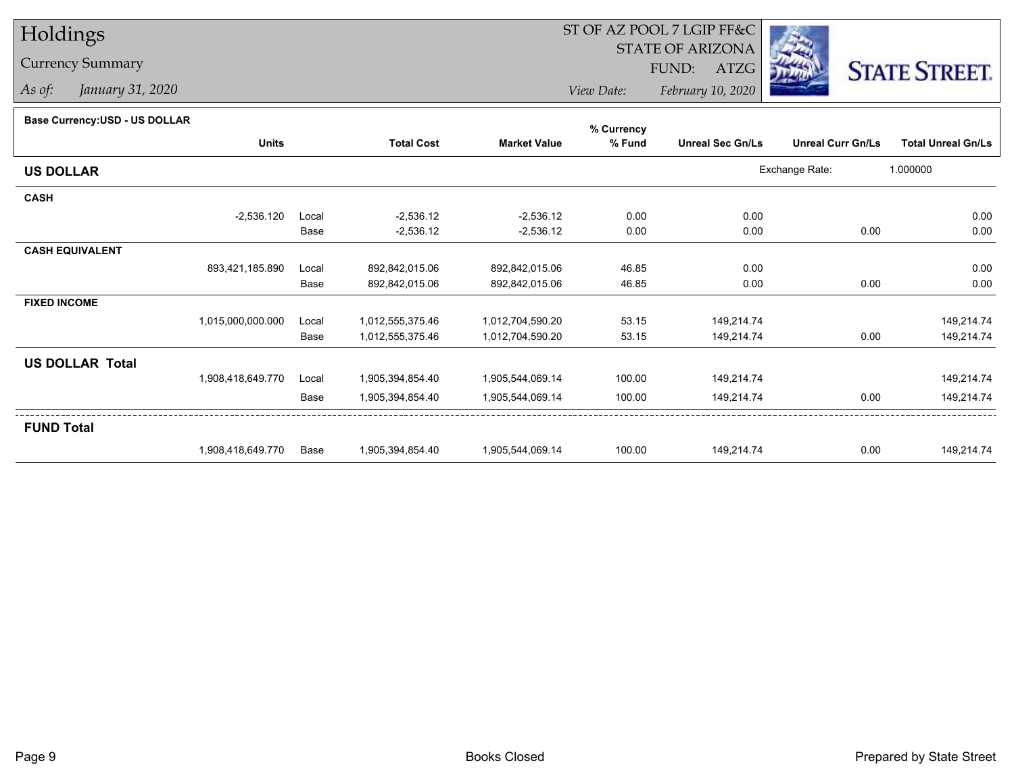## Holdings

## Currency Summary

*As of: January 31, 2020*

## ST OF AZ POOL 7 LGIP FF&C

STATE OF ARIZONA

FUND: ATZG



*View Date:February 10, 2020*

## **Base Currency:USD - US DOLLAR**

|                        |                   |       |                   |                     | % Currency |                         |                          |                           |
|------------------------|-------------------|-------|-------------------|---------------------|------------|-------------------------|--------------------------|---------------------------|
|                        | <b>Units</b>      |       | <b>Total Cost</b> | <b>Market Value</b> | % Fund     | <b>Unreal Sec Gn/Ls</b> | <b>Unreal Curr Gn/Ls</b> | <b>Total Unreal Gn/Ls</b> |
| <b>US DOLLAR</b>       |                   |       |                   |                     |            |                         | Exchange Rate:           | 1.000000                  |
| <b>CASH</b>            |                   |       |                   |                     |            |                         |                          |                           |
|                        | $-2,536.120$      | Local | $-2,536.12$       | $-2,536.12$         | 0.00       | 0.00                    |                          | 0.00                      |
|                        |                   | Base  | $-2,536.12$       | $-2,536.12$         | 0.00       | 0.00                    | 0.00                     | 0.00                      |
| <b>CASH EQUIVALENT</b> |                   |       |                   |                     |            |                         |                          |                           |
|                        | 893,421,185.890   | Local | 892,842,015.06    | 892,842,015.06      | 46.85      | 0.00                    |                          | 0.00                      |
|                        |                   | Base  | 892,842,015.06    | 892,842,015.06      | 46.85      | 0.00                    | 0.00                     | 0.00                      |
| <b>FIXED INCOME</b>    |                   |       |                   |                     |            |                         |                          |                           |
|                        | 1,015,000,000.000 | Local | 1,012,555,375.46  | 1,012,704,590.20    | 53.15      | 149,214.74              |                          | 149,214.74                |
|                        |                   | Base  | 1,012,555,375.46  | 1,012,704,590.20    | 53.15      | 149,214.74              | 0.00                     | 149,214.74                |
| <b>US DOLLAR Total</b> |                   |       |                   |                     |            |                         |                          |                           |
|                        | 1,908,418,649.770 | Local | 1,905,394,854.40  | 1,905,544,069.14    | 100.00     | 149,214.74              |                          | 149,214.74                |
|                        |                   | Base  | 1,905,394,854.40  | 1,905,544,069.14    | 100.00     | 149,214.74              | 0.00                     | 149,214.74                |
| <b>FUND Total</b>      |                   |       |                   |                     |            |                         |                          |                           |
|                        | 1,908,418,649.770 | Base  | 1,905,394,854.40  | 1,905,544,069.14    | 100.00     | 149,214.74              | 0.00                     | 149,214.74                |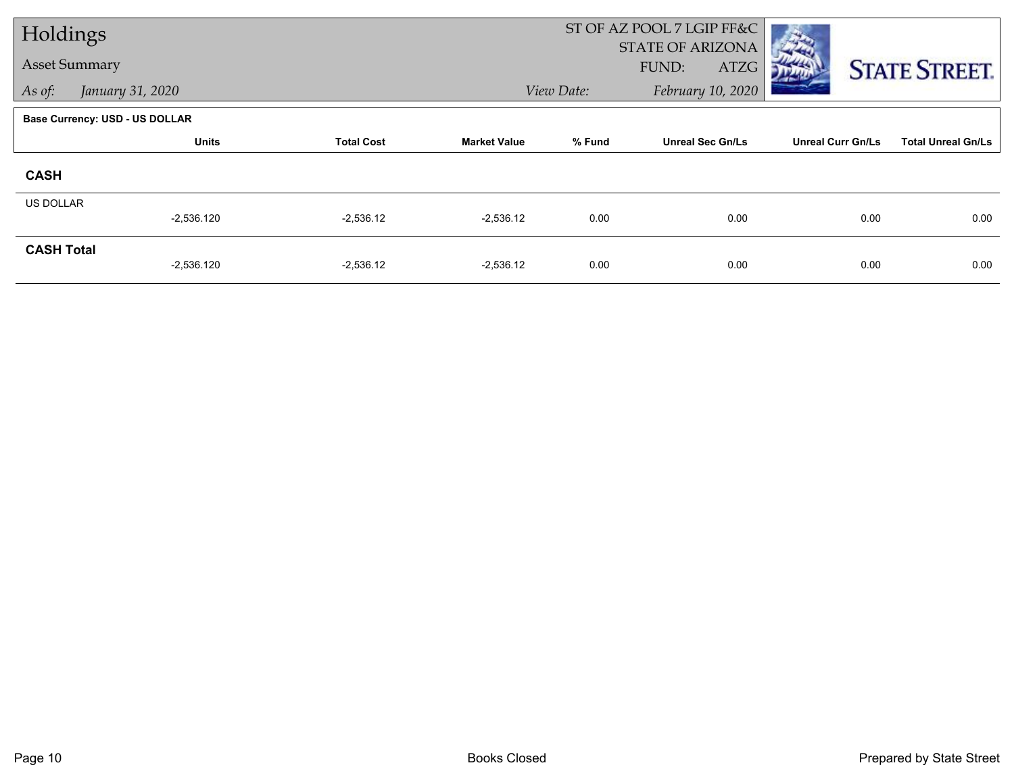| Holdings             |                                |                   |                     | ST OF AZ POOL 7 LGIP FF&C |                         |                          |                           |
|----------------------|--------------------------------|-------------------|---------------------|---------------------------|-------------------------|--------------------------|---------------------------|
|                      |                                |                   |                     |                           | <b>STATE OF ARIZONA</b> |                          |                           |
| <b>Asset Summary</b> |                                |                   |                     |                           | FUND:<br>ATZG           |                          | <b>STATE STREET.</b>      |
| As of:               | January 31, 2020               |                   |                     | View Date:                | February 10, 2020       |                          |                           |
|                      | Base Currency: USD - US DOLLAR |                   |                     |                           |                         |                          |                           |
|                      | <b>Units</b>                   | <b>Total Cost</b> | <b>Market Value</b> | % Fund                    | <b>Unreal Sec Gn/Ls</b> | <b>Unreal Curr Gn/Ls</b> | <b>Total Unreal Gn/Ls</b> |
| <b>CASH</b>          |                                |                   |                     |                           |                         |                          |                           |
| <b>US DOLLAR</b>     |                                |                   |                     |                           |                         |                          |                           |
|                      | $-2,536.120$                   | $-2,536.12$       | $-2,536.12$         | 0.00                      | 0.00                    | 0.00                     | 0.00                      |
| <b>CASH Total</b>    |                                |                   |                     |                           |                         |                          |                           |
|                      | $-2,536.120$                   | $-2,536.12$       | $-2,536.12$         | 0.00                      | 0.00                    | 0.00                     | 0.00                      |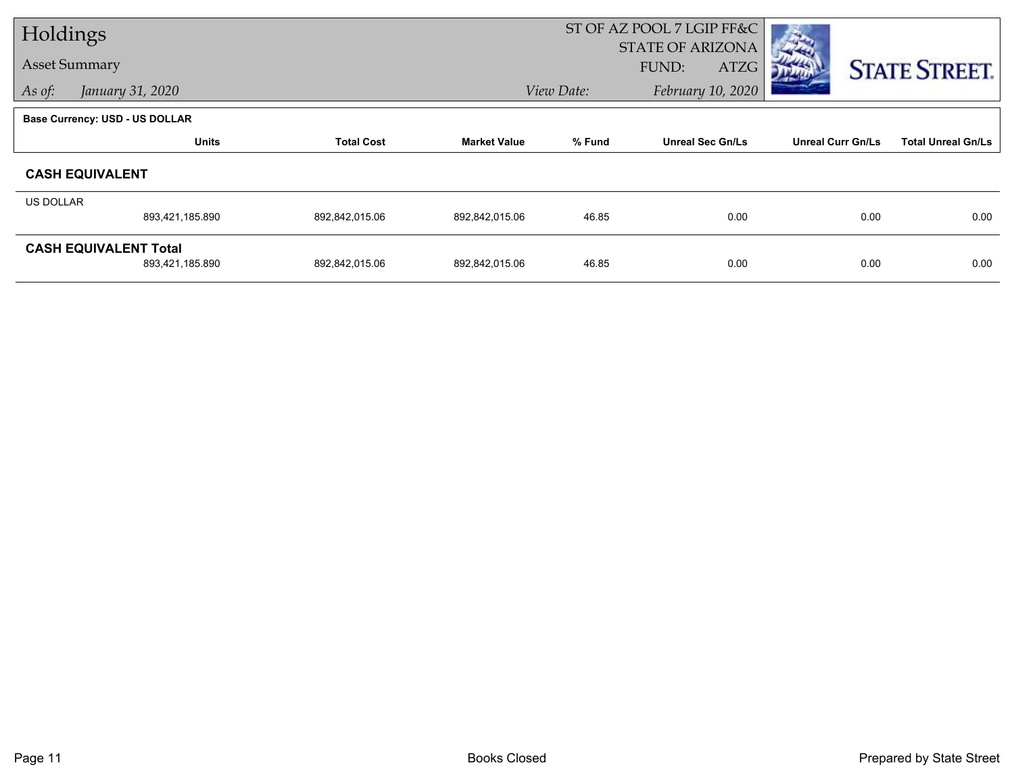| Holdings             |                                       |                   |                     | ST OF AZ POOL 7 LGIP FF&C |                         |                          |                           |
|----------------------|---------------------------------------|-------------------|---------------------|---------------------------|-------------------------|--------------------------|---------------------------|
| <b>Asset Summary</b> |                                       |                   |                     |                           | <b>STATE OF ARIZONA</b> |                          |                           |
|                      |                                       |                   |                     |                           | FUND:<br>ATZG           |                          | <b>STATE STREET.</b>      |
| As of:               | January 31, 2020                      |                   |                     | View Date:                | February 10, 2020       |                          |                           |
|                      | <b>Base Currency: USD - US DOLLAR</b> |                   |                     |                           |                         |                          |                           |
|                      | <b>Units</b>                          | <b>Total Cost</b> | <b>Market Value</b> | % Fund                    | <b>Unreal Sec Gn/Ls</b> | <b>Unreal Curr Gn/Ls</b> | <b>Total Unreal Gn/Ls</b> |
|                      | <b>CASH EQUIVALENT</b>                |                   |                     |                           |                         |                          |                           |
| US DOLLAR            |                                       |                   |                     |                           |                         |                          |                           |
|                      | 893,421,185.890                       | 892,842,015.06    | 892,842,015.06      | 46.85                     | 0.00                    | 0.00                     | 0.00                      |
|                      | <b>CASH EQUIVALENT Total</b>          |                   |                     |                           |                         |                          |                           |
|                      | 893,421,185.890                       | 892,842,015.06    | 892,842,015.06      | 46.85                     | 0.00                    | 0.00                     | 0.00                      |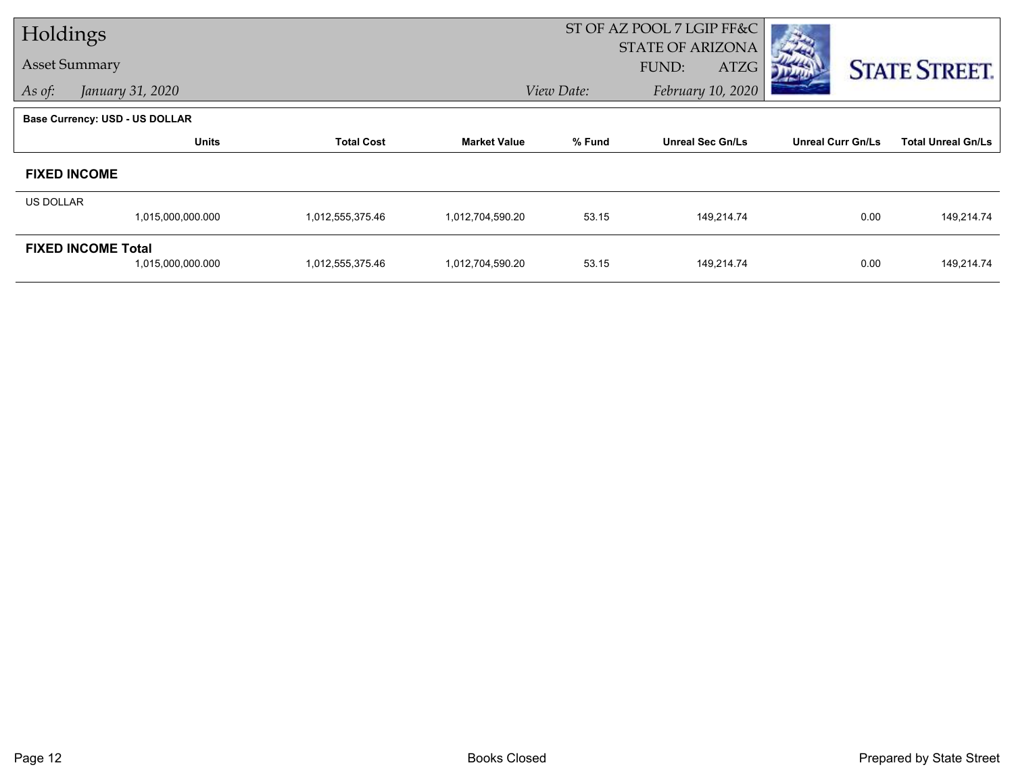| Holdings             |                                       |                   |                     |            | ST OF AZ POOL 7 LGIP FF&C |                          |                           |
|----------------------|---------------------------------------|-------------------|---------------------|------------|---------------------------|--------------------------|---------------------------|
| <b>Asset Summary</b> |                                       |                   |                     |            | <b>STATE OF ARIZONA</b>   |                          |                           |
|                      |                                       |                   |                     |            | FUND:<br>ATZG             |                          | <b>STATE STREET.</b>      |
| As of:               | January 31, 2020                      |                   |                     | View Date: | February 10, 2020         |                          |                           |
|                      | <b>Base Currency: USD - US DOLLAR</b> |                   |                     |            |                           |                          |                           |
|                      | <b>Units</b>                          | <b>Total Cost</b> | <b>Market Value</b> | % Fund     | <b>Unreal Sec Gn/Ls</b>   | <b>Unreal Curr Gn/Ls</b> | <b>Total Unreal Gn/Ls</b> |
|                      | <b>FIXED INCOME</b>                   |                   |                     |            |                           |                          |                           |
| <b>US DOLLAR</b>     |                                       |                   |                     |            |                           |                          |                           |
|                      | 1,015,000,000.000                     | 1,012,555,375.46  | 1,012,704,590.20    | 53.15      | 149,214.74                | 0.00                     | 149,214.74                |
|                      | <b>FIXED INCOME Total</b>             |                   |                     |            |                           |                          |                           |
|                      | 1,015,000,000.000                     | 1,012,555,375.46  | 1,012,704,590.20    | 53.15      | 149,214.74                | 0.00                     | 149,214.74                |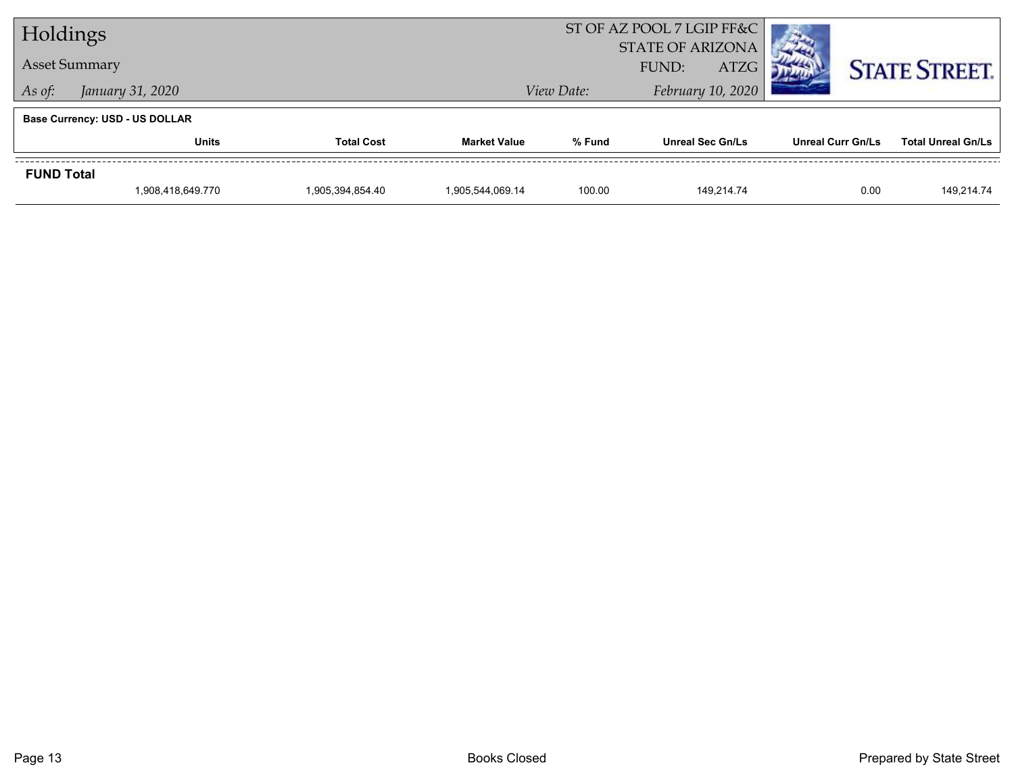| Holdings                              |                      |                   |                     | ST OF AZ POOL 7 LGIP FF&C |                         |                          |                           |  |  |
|---------------------------------------|----------------------|-------------------|---------------------|---------------------------|-------------------------|--------------------------|---------------------------|--|--|
|                                       |                      |                   |                     | <b>STATE OF ARIZONA</b>   |                         |                          |                           |  |  |
|                                       | <b>Asset Summary</b> |                   |                     |                           | <b>ATZG</b><br>FUND:    |                          | <b>STATE STREET.</b>      |  |  |
| As of:                                | January 31, 2020     |                   | View Date:          | February 10, 2020         |                         |                          |                           |  |  |
| <b>Base Currency: USD - US DOLLAR</b> |                      |                   |                     |                           |                         |                          |                           |  |  |
|                                       | Units                | <b>Total Cost</b> | <b>Market Value</b> | % Fund                    | <b>Unreal Sec Gn/Ls</b> | <b>Unreal Curr Gn/Ls</b> | <b>Total Unreal Gn/Ls</b> |  |  |
| <b>FUND Total</b>                     |                      |                   |                     |                           |                         |                          |                           |  |  |
|                                       | 1,908,418,649.770    | 1,905,394,854.40  | 1,905,544,069.14    | 100.00                    | 149.214.74              | 0.00                     | 149,214.74                |  |  |